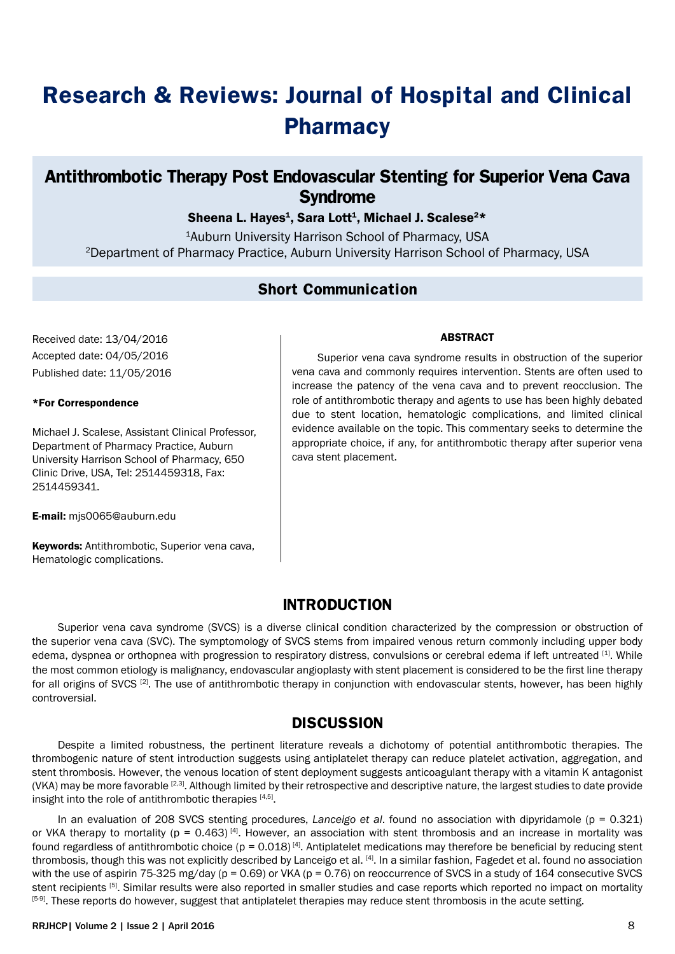# **Research & Reviews: Journal of Hospital and Clinical Pharmacy**

# **Antithrombotic Therapy Post Endovascular Stenting for Superior Vena Cava Syndrome**

## Sheena L. Hayes<sup>1</sup>, Sara Lott<sup>1</sup>, Michael J. Scalese<sup>2\*</sup>

1Auburn University Harrison School of Pharmacy, USA 2Department of Pharmacy Practice, Auburn University Harrison School of Pharmacy, USA

## **Short Communication**

Received date: 13/04/2016 Accepted date: 04/05/2016 Published date: 11/05/2016

#### \*For Correspondence

Michael J. Scalese, Assistant Clinical Professor, Department of Pharmacy Practice, Auburn University Harrison School of Pharmacy, 650 Clinic Drive, USA, Tel: 2514459318, Fax: 2514459341.

E-mail: mjs0065@auburn.edu

Keywords: Antithrombotic, Superior vena cava, Hematologic complications.

#### ABSTRACT

Superior vena cava syndrome results in obstruction of the superior vena cava and commonly requires intervention. Stents are often used to increase the patency of the vena cava and to prevent reocclusion. The role of antithrombotic therapy and agents to use has been highly debated due to stent location, hematologic complications, and limited clinical evidence available on the topic. This commentary seeks to determine the appropriate choice, if any, for antithrombotic therapy after superior vena cava stent placement.

# **INTRODUCTION**

Superior vena cava syndrome (SVCS) is a diverse clinical condition characterized by the compression or obstruction of the superior vena cava (SVC). The symptomology of SVCS stems from impaired venous return commonly including upper body edema, dyspnea or orthopnea with progression to respiratory distress, convulsions or cerebral edema if left untreated [1]. While the most common etiology is malignancy, endovascular angioplasty with stent placement is considered to be the first line therapy for all origins of SVCS [2]. The use of antithrombotic therapy in conjunction with endovascular stents, however, has been highly controversial.

### **DISCUSSION**

Despite a limited robustness, the pertinent literature reveals a dichotomy of potential antithrombotic therapies. The thrombogenic nature of stent introduction suggests using antiplatelet therapy can reduce platelet activation, aggregation, and stent thrombosis. However, the venous location of stent deployment suggests anticoagulant therapy with a vitamin K antagonist (VKA) may be more favorable <sup>[2,3]</sup>. Although limited by their retrospective and descriptive nature, the largest studies to date provide insight into the role of antithrombotic therapies [4,5].

In an evaluation of 208 SVCS stenting procedures, *Lanceigo et al*. found no association with dipyridamole (p = 0.321) or VKA therapy to mortality ( $p = 0.463$ )<sup>[4]</sup>. However, an association with stent thrombosis and an increase in mortality was found regardless of antithrombotic choice ( $p = 0.018$ )<sup>[4]</sup>. Antiplatelet medications may therefore be beneficial by reducing stent thrombosis, though this was not explicitly described by Lanceigo et al. [4]. In a similar fashion, Fagedet et al. found no association with the use of aspirin 75-325 mg/day (p = 0.69) or VKA (p = 0.76) on reoccurrence of SVCS in a study of 164 consecutive SVCS stent recipients <sup>[5]</sup>. Similar results were also reported in smaller studies and case reports which reported no impact on mortality [5-9]. These reports do however, suggest that antiplatelet therapies may reduce stent thrombosis in the acute setting.